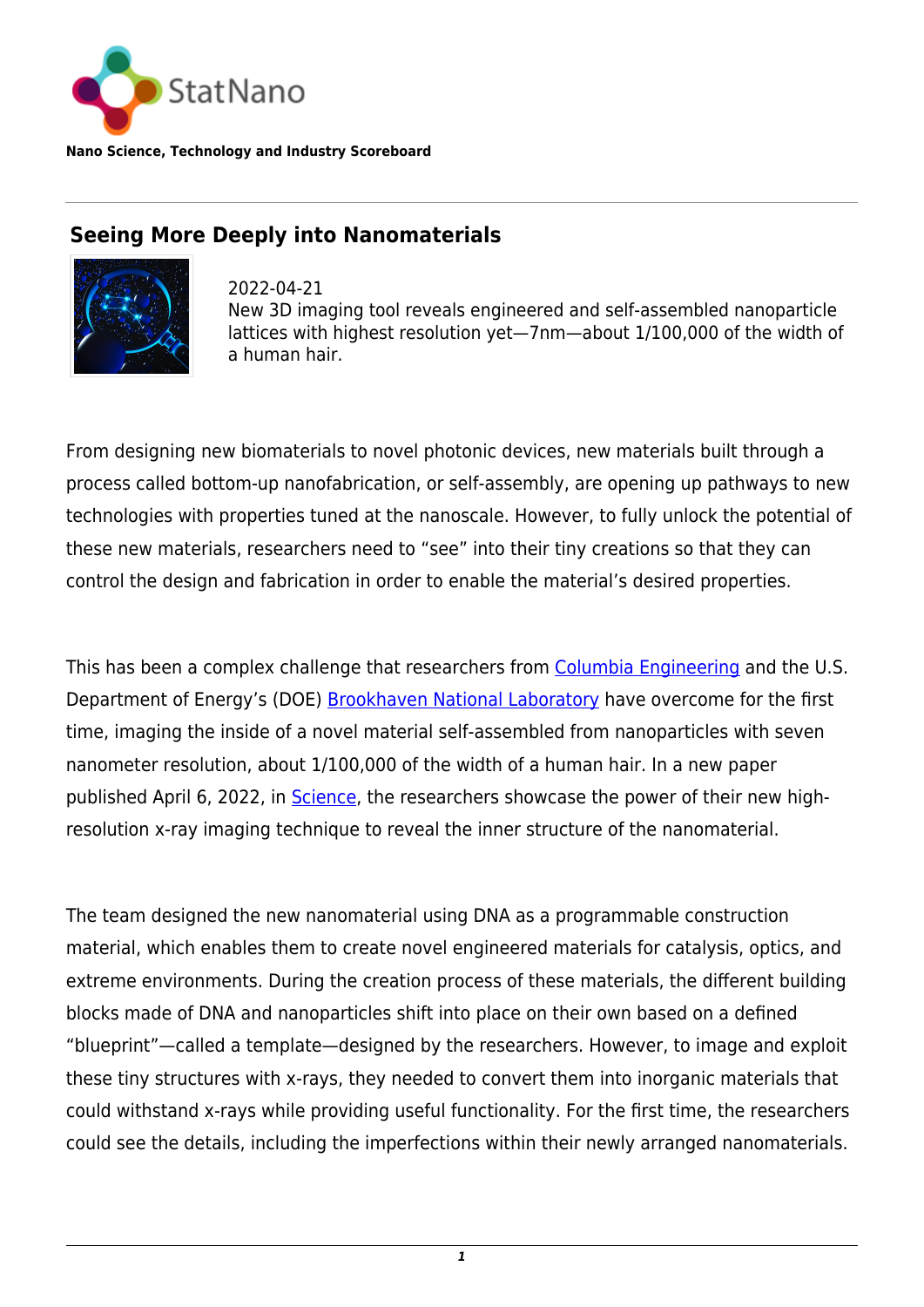

**Nano Science, Technology and Industry Scoreboard**

# **Seeing More Deeply into Nanomaterials**



2022-04-21 New 3D imaging tool reveals engineered and self-assembled nanoparticle lattices with highest resolution yet—7nm—about 1/100,000 of the width of a human hair.

From designing new biomaterials to novel photonic devices, new materials built through a process called bottom-up nanofabrication, or self-assembly, are opening up pathways to new technologies with properties tuned at the nanoscale. However, to fully unlock the potential of these new materials, researchers need to "see" into their tiny creations so that they can control the design and fabrication in order to enable the material's desired properties.

This has been a complex challenge that researchers from [Columbia Engineering](https://statnano.com/org/Columbia-University-in-the-City-of-New-York) and the U.S. Department of Energy's (DOE) [Brookhaven National Laboratory](https://statnano.com/org/Brookhaven-National-Laboratory) have overcome for the first time, imaging the inside of a novel material self-assembled from nanoparticles with seven nanometer resolution, about 1/100,000 of the width of a human hair. In a new paper published April 6, 2022, in [Science,](https://www.science.org/doi/10.1126/science.abk0463) the researchers showcase the power of their new highresolution x-ray imaging technique to reveal the inner structure of the nanomaterial.

The team designed the new nanomaterial using DNA as a programmable construction material, which enables them to create novel engineered materials for catalysis, optics, and extreme environments. During the creation process of these materials, the different building blocks made of DNA and nanoparticles shift into place on their own based on a defined "blueprint"—called a template—designed by the researchers. However, to image and exploit these tiny structures with x-rays, they needed to convert them into inorganic materials that could withstand x-rays while providing useful functionality. For the first time, the researchers could see the details, including the imperfections within their newly arranged nanomaterials.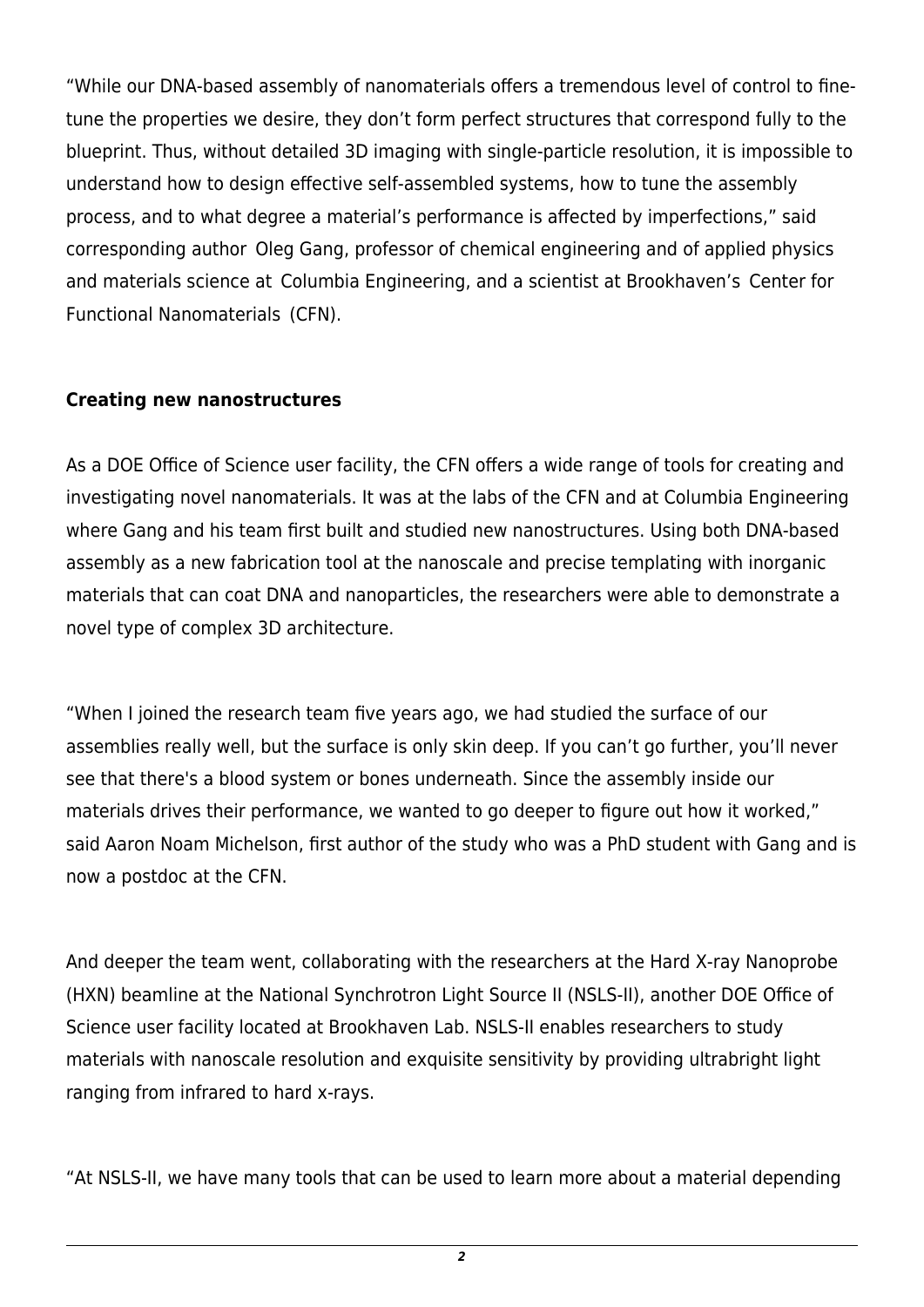"While our DNA-based assembly of nanomaterials offers a tremendous level of control to finetune the properties we desire, they don't form perfect structures that correspond fully to the blueprint. Thus, without detailed 3D imaging with single-particle resolution, it is impossible to understand how to design effective self-assembled systems, how to tune the assembly process, and to what degree a material's performance is affected by imperfections," said corresponding author  Oleg Gang, professor of chemical engineering and of applied physics and materials science at  Columbia Engineering, and a scientist at Brookhaven's  Center for Functional Nanomaterials  (CFN).

#### **Creating new nanostructures**

As a DOE Office of Science user facility, the CFN offers a wide range of tools for creating and investigating novel nanomaterials. It was at the labs of the CFN and at Columbia Engineering where Gang and his team first built and studied new nanostructures. Using both DNA-based assembly as a new fabrication tool at the nanoscale and precise templating with inorganic materials that can coat DNA and nanoparticles, the researchers were able to demonstrate a novel type of complex 3D architecture.

"When I joined the research team five years ago, we had studied the surface of our assemblies really well, but the surface is only skin deep. If you can't go further, you'll never see that there's a blood system or bones underneath. Since the assembly inside our materials drives their performance, we wanted to go deeper to figure out how it worked," said Aaron Noam Michelson, first author of the study who was a PhD student with Gang and is now a postdoc at the CFN.

And deeper the team went, collaborating with the researchers at the Hard X-ray Nanoprobe (HXN) beamline at the National Synchrotron Light Source II (NSLS-II), another DOE Office of Science user facility located at Brookhaven Lab. NSLS-II enables researchers to study materials with nanoscale resolution and exquisite sensitivity by providing ultrabright light ranging from infrared to hard x-rays. 

"At NSLS-II, we have many tools that can be used to learn more about a material depending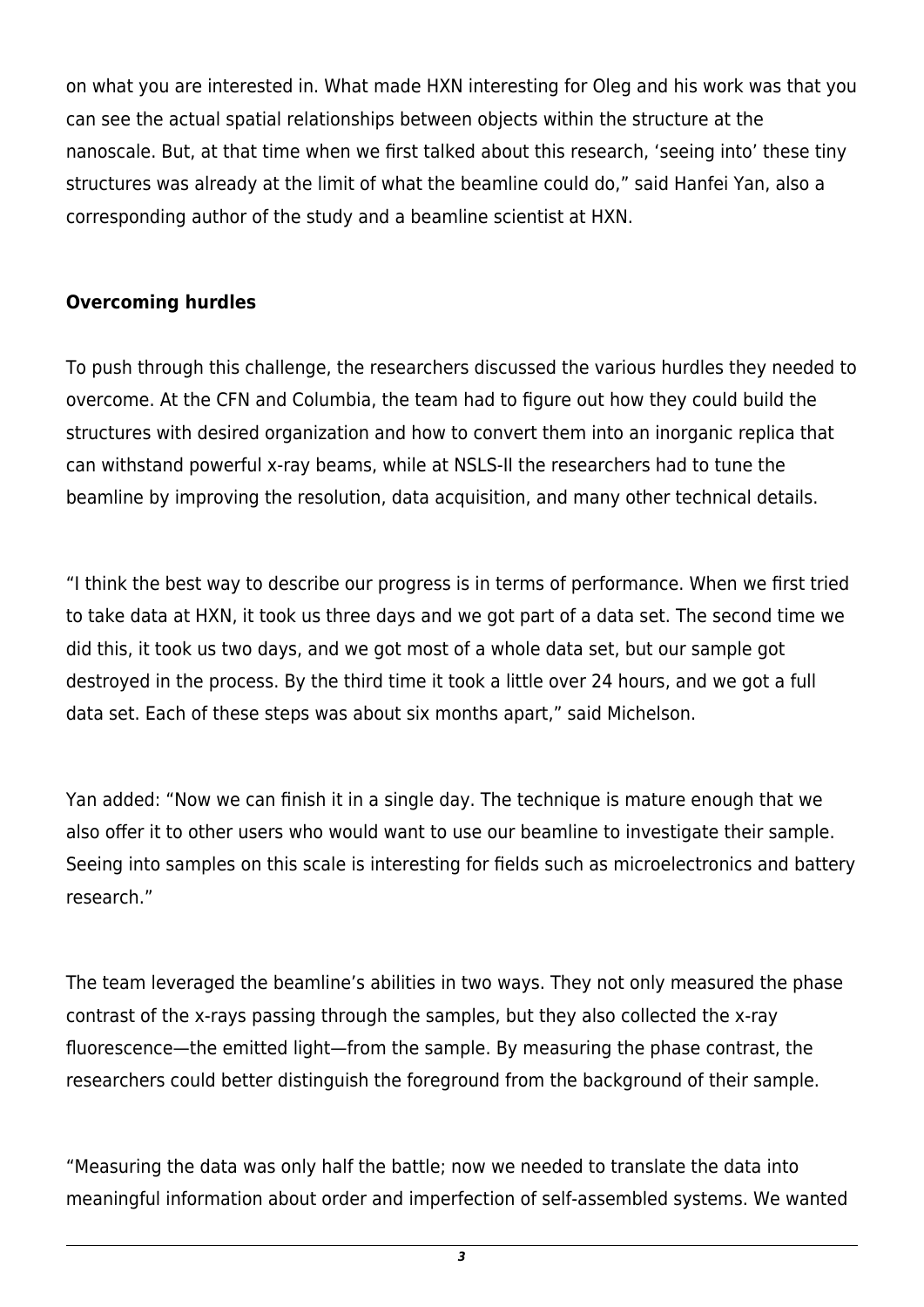on what you are interested in. What made HXN interesting for Oleg and his work was that you can see the actual spatial relationships between objects within the structure at the nanoscale. But, at that time when we first talked about this research, 'seeing into' these tiny structures was already at the limit of what the beamline could do," said Hanfei Yan, also a corresponding author of the study and a beamline scientist at HXN.

### **Overcoming hurdles**

To push through this challenge, the researchers discussed the various hurdles they needed to overcome. At the CFN and Columbia, the team had to figure out how they could build the structures with desired organization and how to convert them into an inorganic replica that can withstand powerful x-ray beams, while at NSLS-II the researchers had to tune the beamline by improving the resolution, data acquisition, and many other technical details.

"I think the best way to describe our progress is in terms of performance. When we first tried to take data at HXN, it took us three days and we got part of a data set. The second time we did this, it took us two days, and we got most of a whole data set, but our sample got destroyed in the process. By the third time it took a little over 24 hours, and we got a full data set. Each of these steps was about six months apart," said Michelson.

Yan added: "Now we can finish it in a single day. The technique is mature enough that we also offer it to other users who would want to use our beamline to investigate their sample. Seeing into samples on this scale is interesting for fields such as microelectronics and battery research."

The team leveraged the beamline's abilities in two ways. They not only measured the phase contrast of the x-rays passing through the samples, but they also collected the x-ray fluorescence—the emitted light—from the sample. By measuring the phase contrast, the researchers could better distinguish the foreground from the background of their sample.

"Measuring the data was only half the battle; now we needed to translate the data into meaningful information about order and imperfection of self-assembled systems. We wanted

*3*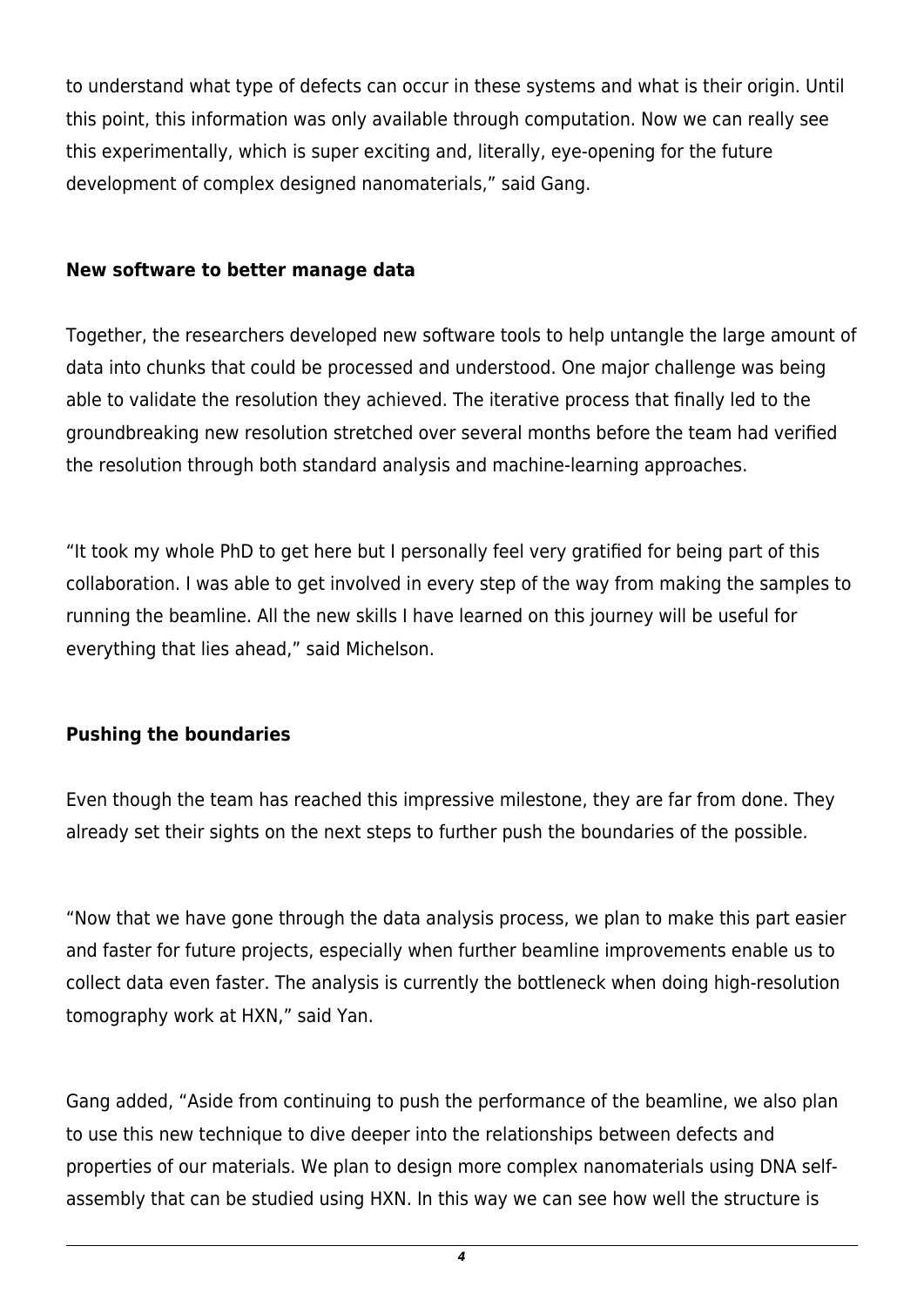to understand what type of defects can occur in these systems and what is their origin. Until this point, this information was only available through computation. Now we can really see this experimentally, which is super exciting and, literally, eye-opening for the future development of complex designed nanomaterials," said Gang.

### **New software to better manage data**

Together, the researchers developed new software tools to help untangle the large amount of data into chunks that could be processed and understood. One major challenge was being able to validate the resolution they achieved. The iterative process that finally led to the groundbreaking new resolution stretched over several months before the team had verified the resolution through both standard analysis and machine-learning approaches.

"It took my whole PhD to get here but I personally feel very gratified for being part of this collaboration. I was able to get involved in every step of the way from making the samples to running the beamline. All the new skills I have learned on this journey will be useful for everything that lies ahead," said Michelson.

## **Pushing the boundaries**

Even though the team has reached this impressive milestone, they are far from done. They already set their sights on the next steps to further push the boundaries of the possible.

"Now that we have gone through the data analysis process, we plan to make this part easier and faster for future projects, especially when further beamline improvements enable us to collect data even faster. The analysis is currently the bottleneck when doing high-resolution tomography work at HXN," said Yan.

Gang added, "Aside from continuing to push the performance of the beamline, we also plan to use this new technique to dive deeper into the relationships between defects and properties of our materials. We plan to design more complex nanomaterials using DNA selfassembly that can be studied using HXN. In this way we can see how well the structure is

*4*